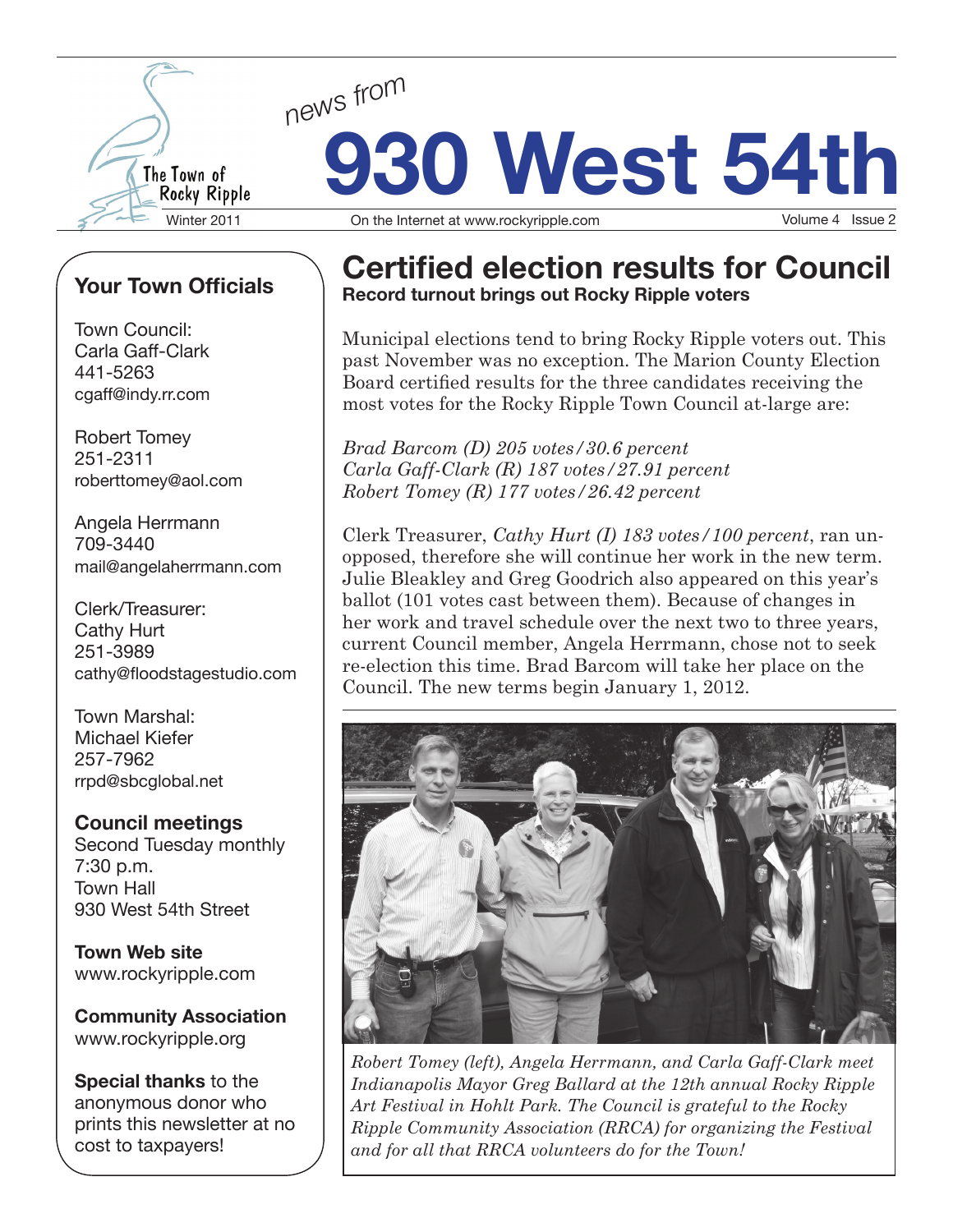

# **930 West 54th** *news from* Winter 2011 **On the Internet at www.rockyripple.com** Volume 4 Issue 2

# **Your Town Officials**

Town Council: Carla Gaff-Clark 441-5263 cgaff@indy.rr.com

Robert Tomey 251-2311 roberttomey@aol.com

Angela Herrmann 709-3440 mail@angelaherrmann.com

Clerk/Treasurer: Cathy Hurt 251-3989 cathy@floodstagestudio.com

Town Marshal: Michael Kiefer 257-7962 rrpd@sbcglobal.net

**Council meetings** Second Tuesday monthly 7:30 p.m. Town Hall 930 West 54th Street

**Town Web site** www.rockyripple.com

**Community Association** www.rockyripple.org

**Special thanks** to the anonymous donor who prints this newsletter at no cost to taxpayers!

## **Certified election results for Council Record turnout brings out Rocky Ripple voters**

Municipal elections tend to bring Rocky Ripple voters out. This past November was no exception. The Marion County Election Board certified results for the three candidates receiving the most votes for the Rocky Ripple Town Council at-large are:

*Brad Barcom (D) 205 votes/30.6 percent Carla Gaff-Clark (R) 187 votes/27.91 percent Robert Tomey (R) 177 votes/26.42 percent*

Clerk Treasurer, *Cathy Hurt (I) 183 votes/100 percent*, ran unopposed, therefore she will continue her work in the new term. Julie Bleakley and Greg Goodrich also appeared on this year's ballot (101 votes cast between them). Because of changes in her work and travel schedule over the next two to three years, current Council member, Angela Herrmann, chose not to seek re-election this time. Brad Barcom will take her place on the Council. The new terms begin January 1, 2012.



*Robert Tomey (left), Angela Herrmann, and Carla Gaff-Clark meet Indianapolis Mayor Greg Ballard at the 12th annual Rocky Ripple Art Festival in Hohlt Park. The Council is grateful to the Rocky Ripple Community Association (RRCA) for organizing the Festival and for all that RRCA volunteers do for the Town!*